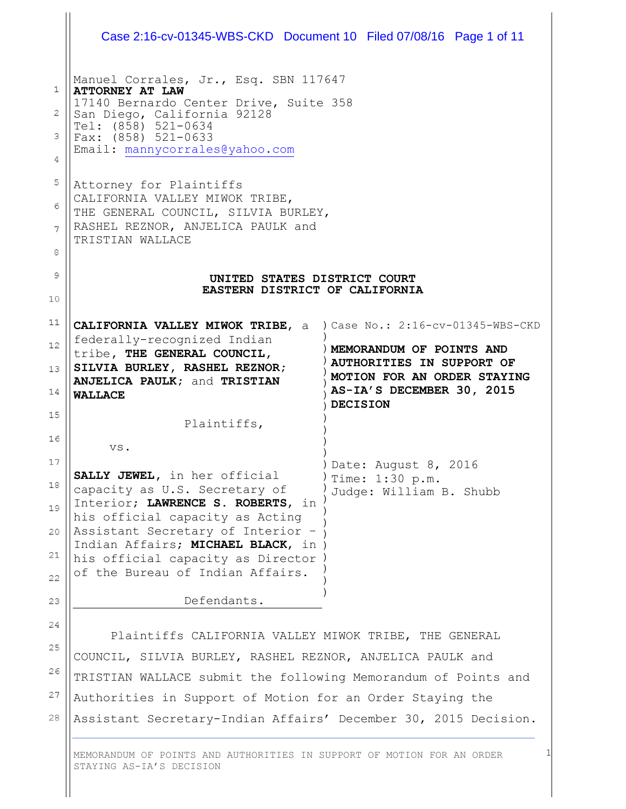|                      | Case 2:16-cv-01345-WBS-CKD Document 10 Filed 07/08/16 Page 1 of 11                                                                                                                                                         |                                                                                                                                                                                  |
|----------------------|----------------------------------------------------------------------------------------------------------------------------------------------------------------------------------------------------------------------------|----------------------------------------------------------------------------------------------------------------------------------------------------------------------------------|
| 1<br>2<br>з<br>4     | Manuel Corrales, Jr., Esq. SBN 117647<br><b>ATTORNEY AT LAW</b><br>17140 Bernardo Center Drive, Suite 358<br>San Diego, California 92128<br>Tel: (858) 521-0634<br>Fax: $(858)$ 521-0633<br>Email: mannycorrales@yahoo.com |                                                                                                                                                                                  |
| 5<br>6<br>7<br>8     | Attorney for Plaintiffs<br>CALIFORNIA VALLEY MIWOK TRIBE,<br>THE GENERAL COUNCIL, SILVIA BURLEY,<br>RASHEL REZNOR, ANJELICA PAULK and<br>TRISTIAN WALLACE                                                                  |                                                                                                                                                                                  |
| 9<br>10              | UNITED STATES DISTRICT COURT<br>EASTERN DISTRICT OF CALIFORNIA                                                                                                                                                             |                                                                                                                                                                                  |
| 11<br>12<br>13<br>14 | CALIFORNIA VALLEY MIWOK TRIBE, a<br>federally-recognized Indian<br>tribe, THE GENERAL COUNCIL,<br>SILVIA BURLEY, RASHEL REZNOR;<br>ANJELICA PAULK; and TRISTIAN<br><b>WALLACE</b>                                          | ) Case No.: 2:16-cv-01345-WBS-CKD<br>MEMORANDUM OF POINTS AND<br><b>AUTHORITIES IN SUPPORT OF</b><br>MOTION FOR AN ORDER STAYING<br>AS-IA'S DECEMBER 30, 2015<br><b>DECISION</b> |
| 15<br>16             | Plaintiffs,<br>VS.                                                                                                                                                                                                         |                                                                                                                                                                                  |
| 17<br>18<br>19       | SALLY JEWEL, in her official<br>capacity as U.S. Secretary of<br>Interior; LAWRENCE S. ROBERTS, in<br>his official capacity as Acting                                                                                      | Date: August 8, 2016<br>Time: 1:30 p.m.<br>Judge: William B. Shubb                                                                                                               |
| 20<br>21<br>22       | Assistant Secretary of Interior -<br>Indian Affairs; MICHAEL BLACK, in )<br>his official capacity as Director<br>of the Bureau of Indian Affairs.                                                                          |                                                                                                                                                                                  |
| 23                   | Defendants.                                                                                                                                                                                                                |                                                                                                                                                                                  |
| 24<br>25             | Plaintiffs CALIFORNIA VALLEY MIWOK TRIBE, THE GENERAL<br>COUNCIL, SILVIA BURLEY, RASHEL REZNOR, ANJELICA PAULK and                                                                                                         |                                                                                                                                                                                  |
|                      |                                                                                                                                                                                                                            |                                                                                                                                                                                  |
| 26                   | TRISTIAN WALLACE submit the following Memorandum of Points and                                                                                                                                                             |                                                                                                                                                                                  |

28 Assistant Secretary-Indian Affairs' December 30, 2015 Decision.

1

MEMORANDUM OF POINTS AND AUTHORITIES IN SUPPORT OF MOTION FOR AN ORDER STAYING AS-IA'S DECISION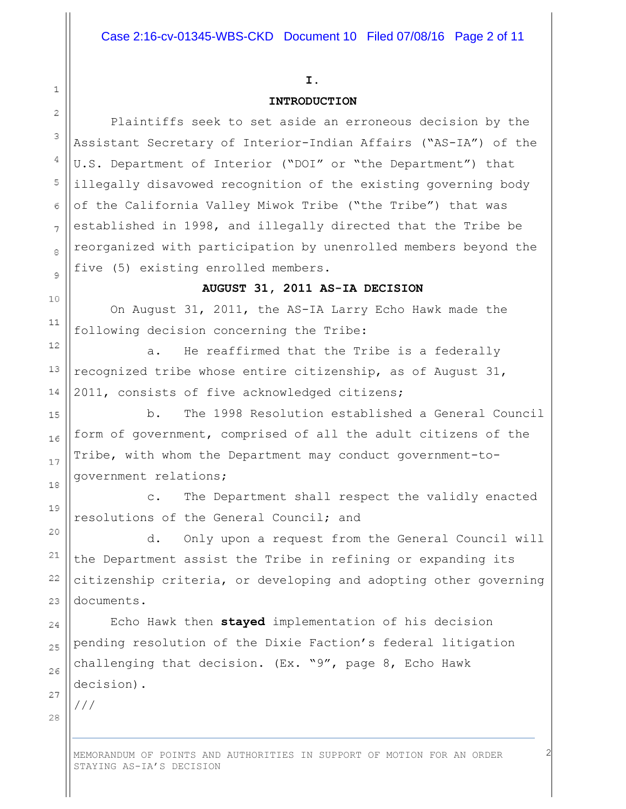#### I.

### INTRODUCTION

 Plaintiffs seek to set aside an erroneous decision by the Assistant Secretary of Interior-Indian Affairs ("AS-IA") of the U.S. Department of Interior ("DOI" or "the Department") that illegally disavowed recognition of the existing governing body of the California Valley Miwok Tribe ("the Tribe") that was established in 1998, and illegally directed that the Tribe be reorganized with participation by unenrolled members beyond the five (5) existing enrolled members.

#### AUGUST 31, 2011 AS-IA DECISION

 On August 31, 2011, the AS-IA Larry Echo Hawk made the following decision concerning the Tribe:

 a. He reaffirmed that the Tribe is a federally recognized tribe whose entire citizenship, as of August 31, 2011, consists of five acknowledged citizens;

 b. The 1998 Resolution established a General Council form of government, comprised of all the adult citizens of the Tribe, with whom the Department may conduct government-togovernment relations;

 c. The Department shall respect the validly enacted resolutions of the General Council; and

 d. Only upon a request from the General Council will the Department assist the Tribe in refining or expanding its citizenship criteria, or developing and adopting other governing documents.

Echo Hawk then stayed implementation of his decision pending resolution of the Dixie Faction's federal litigation challenging that decision. (Ex. "9", page 8, Echo Hawk decision).

28

 $\mathbf{1}$ 

 $\overline{2}$ 

3

4

5

6

 $\overline{7}$ 

8

 $\circ$ 

10

 $11$ 

 $12$ 

13

14

15

16

17

18

19

20

21

22

23

 $24$ 

25

26

27

///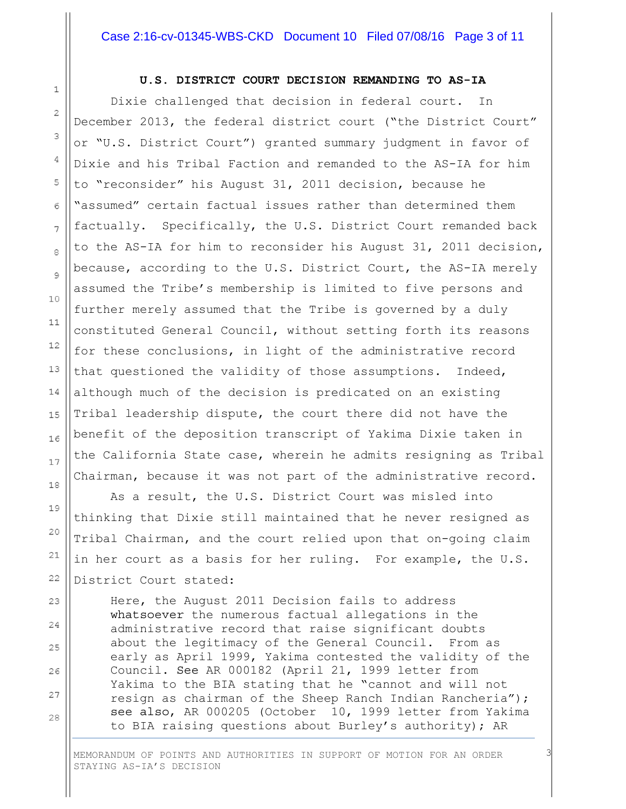#### Case 2:16-cv-01345-WBS-CKD Document 10 Filed 07/08/16 Page 3 of 11

#### U.S. DISTRICT COURT DECISION REMANDING TO AS-IA

 Dixie challenged that decision in federal court. In December 2013, the federal district court ("the District Court" or "U.S. District Court") granted summary judgment in favor of Dixie and his Tribal Faction and remanded to the AS-IA for him to "reconsider" his August 31, 2011 decision, because he "assumed" certain factual issues rather than determined them factually. Specifically, the U.S. District Court remanded back to the AS-IA for him to reconsider his August 31, 2011 decision, because, according to the U.S. District Court, the AS-IA merely assumed the Tribe's membership is limited to five persons and further merely assumed that the Tribe is governed by a duly constituted General Council, without setting forth its reasons for these conclusions, in light of the administrative record that questioned the validity of those assumptions. Indeed, although much of the decision is predicated on an existing Tribal leadership dispute, the court there did not have the benefit of the deposition transcript of Yakima Dixie taken in the California State case, wherein he admits resigning as Tribal Chairman, because it was not part of the administrative record.

 As a result, the U.S. District Court was misled into thinking that Dixie still maintained that he never resigned as Tribal Chairman, and the court relied upon that on-going claim in her court as a basis for her ruling. For example, the U.S. District Court stated:

 Here, the August 2011 Decision fails to address whatsoever the numerous factual allegations in the administrative record that raise significant doubts about the legitimacy of the General Council. From as early as April 1999, Yakima contested the validity of the Council. See AR 000182 (April 21, 1999 letter from Yakima to the BIA stating that he "cannot and will not resign as chairman of the Sheep Ranch Indian Rancheria"); see also, AR 000205 (October 10, 1999 letter from Yakima to BIA raising questions about Burley's authority); AR

3

MEMORANDUM OF POINTS AND AUTHORITIES IN SUPPORT OF MOTION FOR AN ORDER STAYING AS-IA'S DECISION

 $1\,$ 

 $\bar{z}$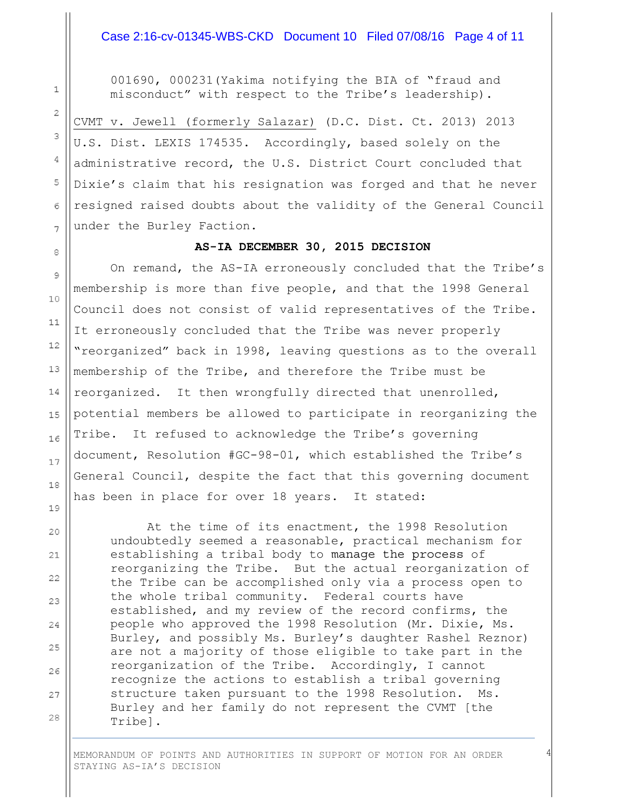#### Case 2:16-cv-01345-WBS-CKD Document 10 Filed 07/08/16 Page 4 of 11

 001690, 000231(Yakima notifying the BIA of "fraud and misconduct" with respect to the Tribe's leadership).

CVMT v. Jewell (formerly Salazar) (D.C. Dist. Ct. 2013) 2013 U.S. Dist. LEXIS 174535. Accordingly, based solely on the administrative record, the U.S. District Court concluded that Dixie's claim that his resignation was forged and that he never resigned raised doubts about the validity of the General Council under the Burley Faction.

#### AS-IA DECEMBER 30, 2015 DECISION

 On remand, the AS-IA erroneously concluded that the Tribe's membership is more than five people, and that the 1998 General Council does not consist of valid representatives of the Tribe. It erroneously concluded that the Tribe was never properly "reorganized" back in 1998, leaving questions as to the overall membership of the Tribe, and therefore the Tribe must be reorganized. It then wrongfully directed that unenrolled, potential members be allowed to participate in reorganizing the Tribe. It refused to acknowledge the Tribe's governing document, Resolution #GC-98-01, which established the Tribe's General Council, despite the fact that this governing document has been in place for over 18 years. It stated:

 $\mathbf{1}$ 

 $\overline{2}$ 

3

4

5

6

7

 $\mathbf{a}$ 

9

10

 $11$ 

12

13

14

15

16

17

18

 At the time of its enactment, the 1998 Resolution undoubtedly seemed a reasonable, practical mechanism for establishing a tribal body to manage the process of reorganizing the Tribe. But the actual reorganization of the Tribe can be accomplished only via a process open to the whole tribal community. Federal courts have established, and my review of the record confirms, the people who approved the 1998 Resolution (Mr. Dixie, Ms. Burley, and possibly Ms. Burley's daughter Rashel Reznor) are not a majority of those eligible to take part in the reorganization of the Tribe. Accordingly, I cannot recognize the actions to establish a tribal governing structure taken pursuant to the 1998 Resolution. Ms. Burley and her family do not represent the CVMT [the Tribe].

4

MEMORANDUM OF POINTS AND AUTHORITIES IN SUPPORT OF MOTION FOR AN ORDER STAYING AS-IA'S DECISION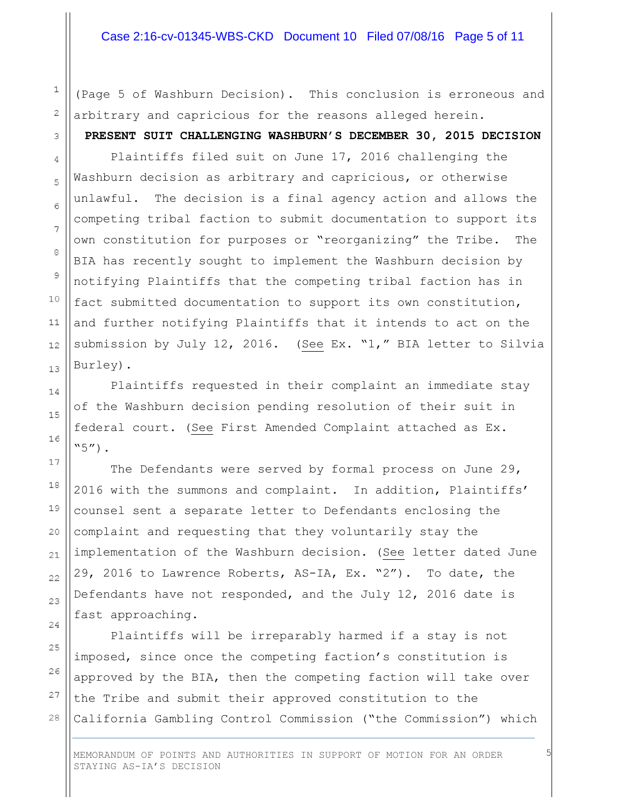#### Case 2:16-cv-01345-WBS-CKD Document 10 Filed 07/08/16 Page 5 of 11

(Page 5 of Washburn Decision). This conclusion is erroneous and arbitrary and capricious for the reasons alleged herein. PRESENT SUIT CHALLENGING WASHBURN'S DECEMBER 30, 2015 DECISION

 Plaintiffs filed suit on June 17, 2016 challenging the Washburn decision as arbitrary and capricious, or otherwise unlawful. The decision is a final agency action and allows the competing tribal faction to submit documentation to support its own constitution for purposes or "reorganizing" the Tribe. The BIA has recently sought to implement the Washburn decision by notifying Plaintiffs that the competing tribal faction has in fact submitted documentation to support its own constitution, and further notifying Plaintiffs that it intends to act on the submission by July 12, 2016. (See Ex. "1," BIA letter to Silvia Burley).

 Plaintiffs requested in their complaint an immediate stay of the Washburn decision pending resolution of their suit in federal court. (See First Amended Complaint attached as Ex.  $"5"$ ).

 The Defendants were served by formal process on June 29, 2016 with the summons and complaint. In addition, Plaintiffs' counsel sent a separate letter to Defendants enclosing the complaint and requesting that they voluntarily stay the implementation of the Washburn decision. (See letter dated June 29, 2016 to Lawrence Roberts, AS-IA, Ex. "2"). To date, the Defendants have not responded, and the July 12, 2016 date is fast approaching.

 Plaintiffs will be irreparably harmed if a stay is not imposed, since once the competing faction's constitution is approved by the BIA, then the competing faction will take over the Tribe and submit their approved constitution to the California Gambling Control Commission ("the Commission") which

MEMORANDUM OF POINTS AND AUTHORITIES IN SUPPORT OF MOTION FOR AN ORDER STAYING AS-IA'S DECISION

5

 $\mathbbm{1}$ 

2

3

4

5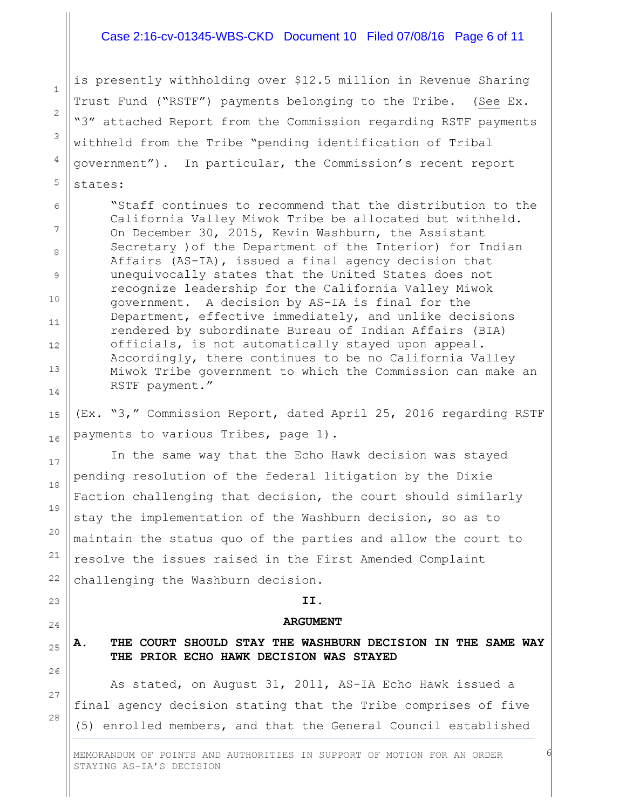#### Case 2:16-cv-01345-WBS-CKD Document 10 Filed 07/08/16 Page 6 of 11

is presently withholding over \$12.5 million in Revenue Sharing Trust Fund ("RSTF") payments belonging to the Tribe. (See Ex. "3" attached Report from the Commission regarding RSTF payments withheld from the Tribe "pending identification of Tribal government"). In particular, the Commission's recent report states:

 $\mathbf{1}$ 

 $\overline{2}$ 

3

4

5

6

7

 $\beta$ 

9

10

 $11$ 

 $12$ 

 $13$ 

14

15

16

17

18

19

20

21

22

23

24

25

26

27

28

"Staff continues to recommend that the distribution to the California Valley Miwok Tribe be allocated but withheld. On December 30, 2015, Kevin Washburn, the Assistant Secretary )of the Department of the Interior) for Indian Affairs (AS-IA), issued a final agency decision that unequivocally states that the United States does not recognize leadership for the California Valley Miwok government. A decision by AS-IA is final for the Department, effective immediately, and unlike decisions rendered by subordinate Bureau of Indian Affairs (BIA) officials, is not automatically stayed upon appeal. Accordingly, there continues to be no California Valley Miwok Tribe government to which the Commission can make an RSTF payment."

(Ex. "3," Commission Report, dated April 25, 2016 regarding RSTF payments to various Tribes, page 1).

 In the same way that the Echo Hawk decision was stayed pending resolution of the federal litigation by the Dixie Faction challenging that decision, the court should similarly stay the implementation of the Washburn decision, so as to maintain the status quo of the parties and allow the court to resolve the issues raised in the First Amended Complaint challenging the Washburn decision.

#### II.

#### ARGUMENT

#### A. THE COURT SHOULD STAY THE WASHBURN DECISION IN THE SAME WAY THE PRIOR ECHO HAWK DECISION WAS STAYED

 As stated, on August 31, 2011, AS-IA Echo Hawk issued a final agency decision stating that the Tribe comprises of five (5) enrolled members, and that the General Council established

6

MEMORANDUM OF POINTS AND AUTHORITIES IN SUPPORT OF MOTION FOR AN ORDER STAYING AS-IA'S DECISION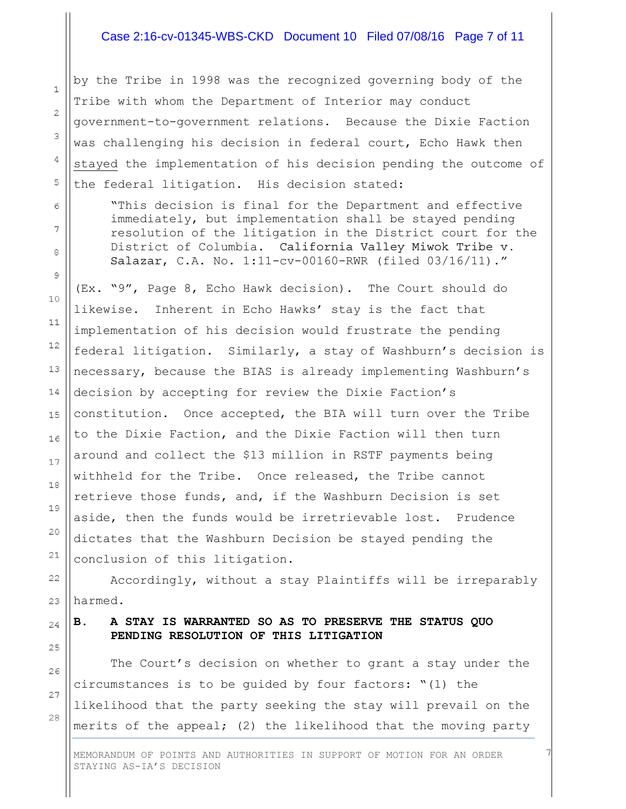#### Case 2:16-cv-01345-WBS-CKD Document 10 Filed 07/08/16 Page 7 of 11

by the Tribe in 1998 was the recognized governing body of the Tribe with whom the Department of Interior may conduct government-to-government relations. Because the Dixie Faction was challenging his decision in federal court, Echo Hawk then stayed the implementation of his decision pending the outcome of the federal litigation. His decision stated:

"This decision is final for the Department and effective immediately, but implementation shall be stayed pending resolution of the litigation in the District court for the District of Columbia. California Valley Miwok Tribe v. Salazar, C.A. No. 1:11-cv-00160-RWR (filed 03/16/11)."

(Ex. "9", Page 8, Echo Hawk decision). The Court should do likewise. Inherent in Echo Hawks' stay is the fact that implementation of his decision would frustrate the pending federal litigation. Similarly, a stay of Washburn's decision is necessary, because the BIAS is already implementing Washburn's decision by accepting for review the Dixie Faction's constitution. Once accepted, the BIA will turn over the Tribe to the Dixie Faction, and the Dixie Faction will then turn around and collect the \$13 million in RSTF payments being withheld for the Tribe. Once released, the Tribe cannot retrieve those funds, and, if the Washburn Decision is set aside, then the funds would be irretrievable lost. Prudence dictates that the Washburn Decision be stayed pending the conclusion of this litigation.

 Accordingly, without a stay Plaintiffs will be irreparably harmed.

# B. A STAY IS WARRANTED SO AS TO PRESERVE THE STATUS QUO PENDING RESOLUTION OF THIS LITIGATION

 The Court's decision on whether to grant a stay under the circumstances is to be guided by four factors: "(1) the likelihood that the party seeking the stay will prevail on the merits of the appeal; (2) the likelihood that the moving party

7

MEMORANDUM OF POINTS AND AUTHORITIES IN SUPPORT OF MOTION FOR AN ORDER STAYING AS-IA'S DECISION

28

 $\mathbf{1}$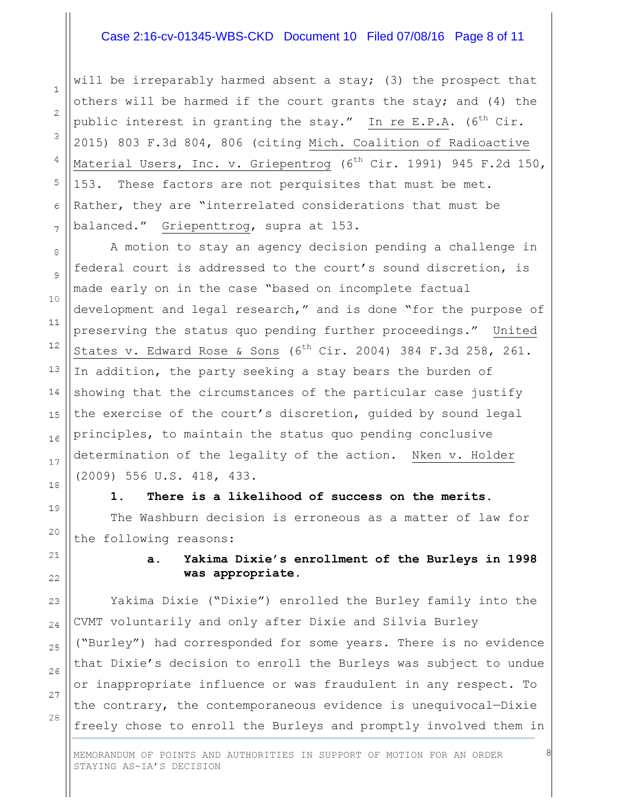#### Case 2:16-cv-01345-WBS-CKD Document 10 Filed 07/08/16 Page 8 of 11

will be irreparably harmed absent a stay; (3) the prospect that others will be harmed if the court grants the stay; and (4) the public interest in granting the stay." In re E.P.A.  $(6^{th}$  Cir. 2015) 803 F.3d 804, 806 (citing Mich. Coalition of Radioactive Material Users, Inc. v. Griepentrog ( $6<sup>th</sup>$  Cir. 1991) 945 F.2d 150, 153. These factors are not perquisites that must be met. Rather, they are "interrelated considerations that must be balanced." Griepenttrog, supra at 153.

 A motion to stay an agency decision pending a challenge in federal court is addressed to the court's sound discretion, is made early on in the case "based on incomplete factual development and legal research," and is done "for the purpose of preserving the status quo pending further proceedings." United States v. Edward Rose & Sons  $(6^{th}$  Cir. 2004) 384 F.3d 258, 261. In addition, the party seeking a stay bears the burden of showing that the circumstances of the particular case justify the exercise of the court's discretion, guided by sound legal principles, to maintain the status quo pending conclusive determination of the legality of the action. Nken v. Holder (2009) 556 U.S. 418, 433.

# 1. There is a likelihood of success on the merits. The Washburn decision is erroneous as a matter of law for the following reasons:

### a. Yakima Dixie's enrollment of the Burleys in 1998 was appropriate.

8

Yakima Dixie ("Dixie") enrolled the Burley family into the CVMT voluntarily and only after Dixie and Silvia Burley ("Burley") had corresponded for some years. There is no evidence that Dixie's decision to enroll the Burleys was subject to undue or inappropriate influence or was fraudulent in any respect. To the contrary, the contemporaneous evidence is unequivocal—Dixie freely chose to enroll the Burleys and promptly involved them in

MEMORANDUM OF POINTS AND AUTHORITIES IN SUPPORT OF MOTION FOR AN ORDER STAYING AS-IA'S DECISION

 $\mathbf{1}$ 

 $\overline{2}$ 

3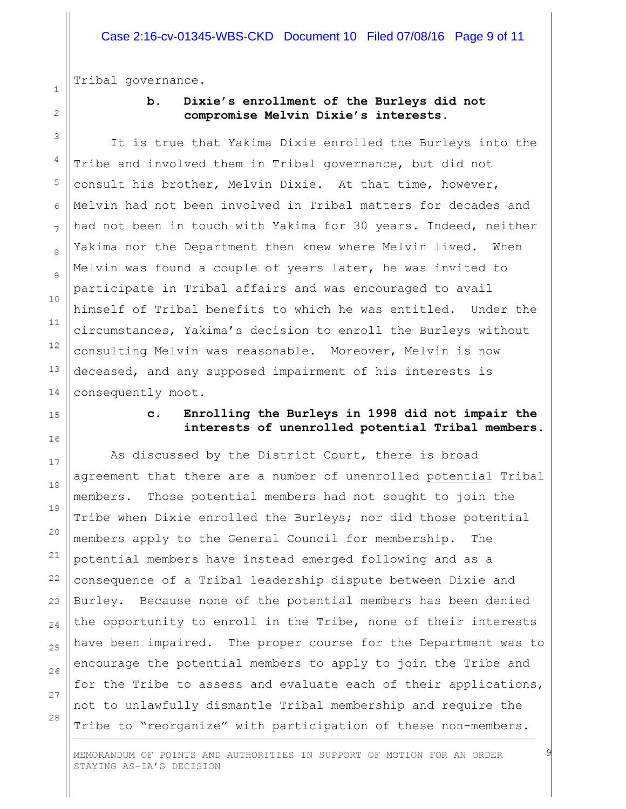Tribal governance.

 $\mathbf{1}$ 

 $\overline{2}$ 

3

4

5

6

 $\overline{7}$ 

8

 $\circ$ 

10

 $11$ 

 $12$ 

# b. Dixie's enrollment of the Burleys did not compromise Melvin Dixie's interests.

 It is true that Yakima Dixie enrolled the Burleys into the Tribe and involved them in Tribal governance, but did not consult his brother, Melvin Dixie. At that time, however, Melvin had not been involved in Tribal matters for decades and had not been in touch with Yakima for 30 years. Indeed, neither Yakima nor the Department then knew where Melvin lived. When Melvin was found a couple of years later, he was invited to participate in Tribal affairs and was encouraged to avail himself of Tribal benefits to which he was entitled. Under the circumstances, Yakima's decision to enroll the Burleys without consulting Melvin was reasonable. Moreover, Melvin is now deceased, and any supposed impairment of his interests is consequently moot.

# c. Enrolling the Burleys in 1998 did not impair the interests of unenrolled potential Tribal members.

 As discussed by the District Court, there is broad agreement that there are a number of unenrolled potential Tribal members. Those potential members had not sought to join the Tribe when Dixie enrolled the Burleys; nor did those potential members apply to the General Council for membership. The potential members have instead emerged following and as a consequence of a Tribal leadership dispute between Dixie and Burley. Because none of the potential members has been denied the opportunity to enroll in the Tribe, none of their interests have been impaired. The proper course for the Department was to encourage the potential members to apply to join the Tribe and for the Tribe to assess and evaluate each of their applications, not to unlawfully dismantle Tribal membership and require the Tribe to "reorganize" with participation of these non-members.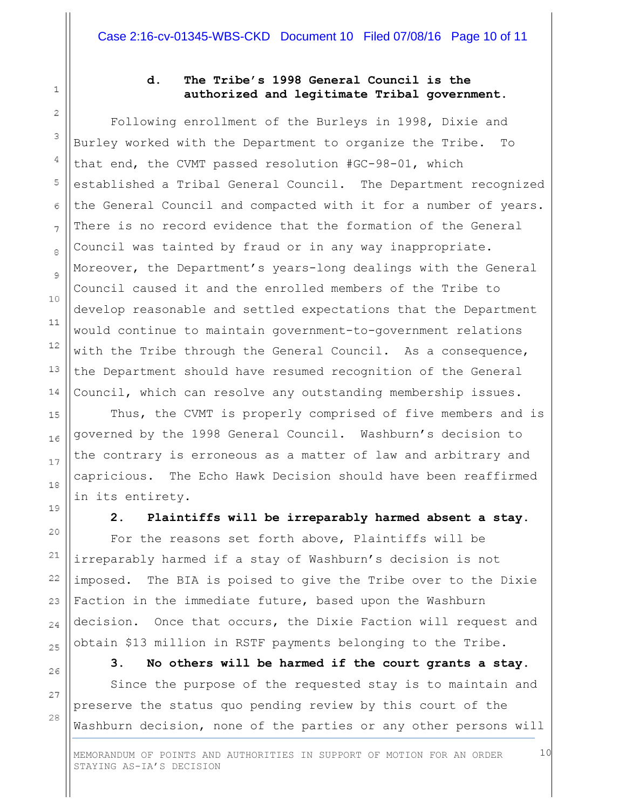$\mathbf{1}$ 

2

3

4

5

6

 $\overline{7}$ 

8

 $\circ$ 

10

 $11$ 

 $12$ 

13

14

# d. The Tribe's 1998 General Council is the authorized and legitimate Tribal government.

 Following enrollment of the Burleys in 1998, Dixie and Burley worked with the Department to organize the Tribe. To that end, the CVMT passed resolution #GC-98-01, which established a Tribal General Council. The Department recognized the General Council and compacted with it for a number of years. There is no record evidence that the formation of the General Council was tainted by fraud or in any way inappropriate. Moreover, the Department's years-long dealings with the General Council caused it and the enrolled members of the Tribe to develop reasonable and settled expectations that the Department would continue to maintain government-to-government relations with the Tribe through the General Council. As a consequence, the Department should have resumed recognition of the General Council, which can resolve any outstanding membership issues.

 Thus, the CVMT is properly comprised of five members and is governed by the 1998 General Council. Washburn's decision to the contrary is erroneous as a matter of law and arbitrary and capricious. The Echo Hawk Decision should have been reaffirmed in its entirety.

2. Plaintiffs will be irreparably harmed absent a stay.

 For the reasons set forth above, Plaintiffs will be irreparably harmed if a stay of Washburn's decision is not imposed. The BIA is poised to give the Tribe over to the Dixie Faction in the immediate future, based upon the Washburn decision. Once that occurs, the Dixie Faction will request and obtain \$13 million in RSTF payments belonging to the Tribe.

3. No others will be harmed if the court grants a stay.

10

 Since the purpose of the requested stay is to maintain and preserve the status quo pending review by this court of the Washburn decision, none of the parties or any other persons will

MEMORANDUM OF POINTS AND AUTHORITIES IN SUPPORT OF MOTION FOR AN ORDER STAYING AS-IA'S DECISION